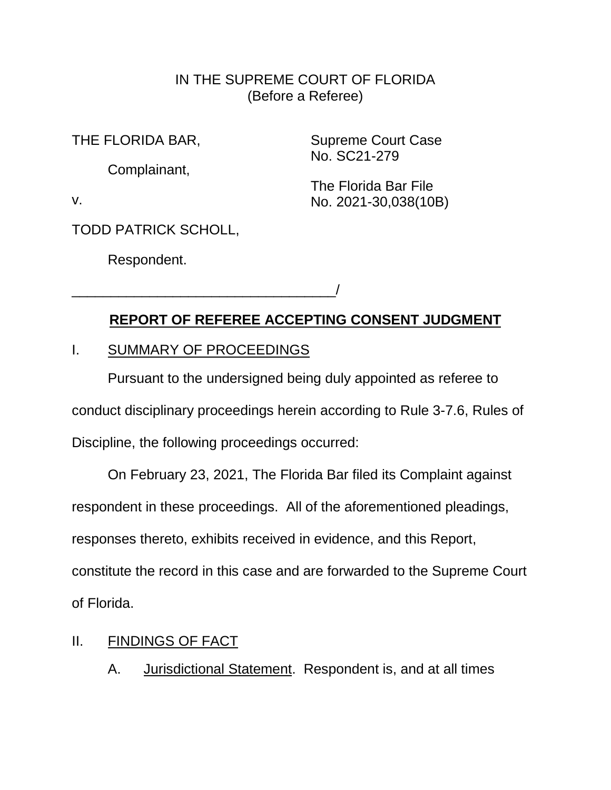### IN THE SUPREME COURT OF FLORIDA (Before a Referee)

THE FLORIDA BAR,

Complainant,

Supreme Court Case No. SC21-279

The Florida Bar File No. 2021-30,038(10B)

v.

TODD PATRICK SCHOLL,

Respondent.

# **REPORT OF REFEREE ACCEPTING CONSENT JUDGMENT**

### I. SUMMARY OF PROCEEDINGS

\_\_\_\_\_\_\_\_\_\_\_\_\_\_\_\_\_\_\_\_\_\_\_\_\_\_\_\_\_\_\_\_\_\_/

Pursuant to the undersigned being duly appointed as referee to conduct disciplinary proceedings herein according to Rule 3-7.6, Rules of Discipline, the following proceedings occurred:

On February 23, 2021, The Florida Bar filed its Complaint against respondent in these proceedings. All of the aforementioned pleadings, responses thereto, exhibits received in evidence, and this Report, constitute the record in this case and are forwarded to the Supreme Court of Florida.

## II. FINDINGS OF FACT

A. Jurisdictional Statement. Respondent is, and at all times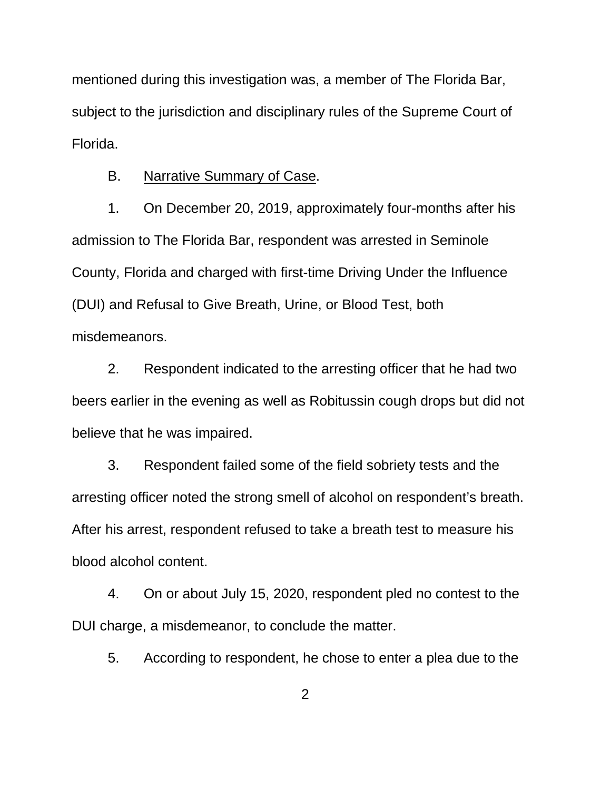mentioned during this investigation was, a member of The Florida Bar, subject to the jurisdiction and disciplinary rules of the Supreme Court of Florida.

### B. Narrative Summary of Case.

1. On December 20, 2019, approximately four-months after his admission to The Florida Bar, respondent was arrested in Seminole County, Florida and charged with first-time Driving Under the Influence (DUI) and Refusal to Give Breath, Urine, or Blood Test, both misdemeanors.

2. Respondent indicated to the arresting officer that he had two beers earlier in the evening as well as Robitussin cough drops but did not believe that he was impaired.

3. Respondent failed some of the field sobriety tests and the arresting officer noted the strong smell of alcohol on respondent's breath. After his arrest, respondent refused to take a breath test to measure his blood alcohol content.

4. On or about July 15, 2020, respondent pled no contest to the DUI charge, a misdemeanor, to conclude the matter.

5. According to respondent, he chose to enter a plea due to the

2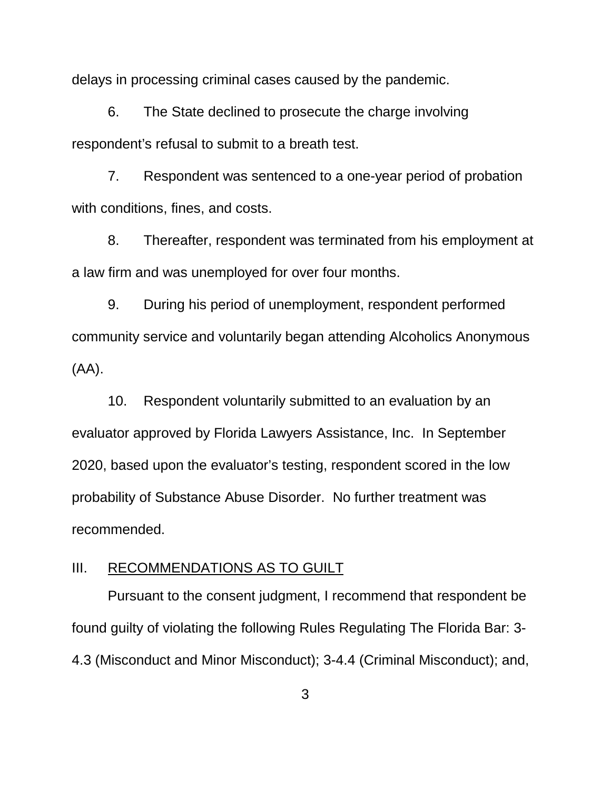delays in processing criminal cases caused by the pandemic.

6. The State declined to prosecute the charge involving respondent's refusal to submit to a breath test.

7. Respondent was sentenced to a one-year period of probation with conditions, fines, and costs.

8. Thereafter, respondent was terminated from his employment at a law firm and was unemployed for over four months.

9. During his period of unemployment, respondent performed community service and voluntarily began attending Alcoholics Anonymous (AA).

10. Respondent voluntarily submitted to an evaluation by an evaluator approved by Florida Lawyers Assistance, Inc. In September 2020, based upon the evaluator's testing, respondent scored in the low probability of Substance Abuse Disorder. No further treatment was recommended.

### III. RECOMMENDATIONS AS TO GUILT

Pursuant to the consent judgment, I recommend that respondent be found guilty of violating the following Rules Regulating The Florida Bar: 3- 4.3 (Misconduct and Minor Misconduct); 3-4.4 (Criminal Misconduct); and,

3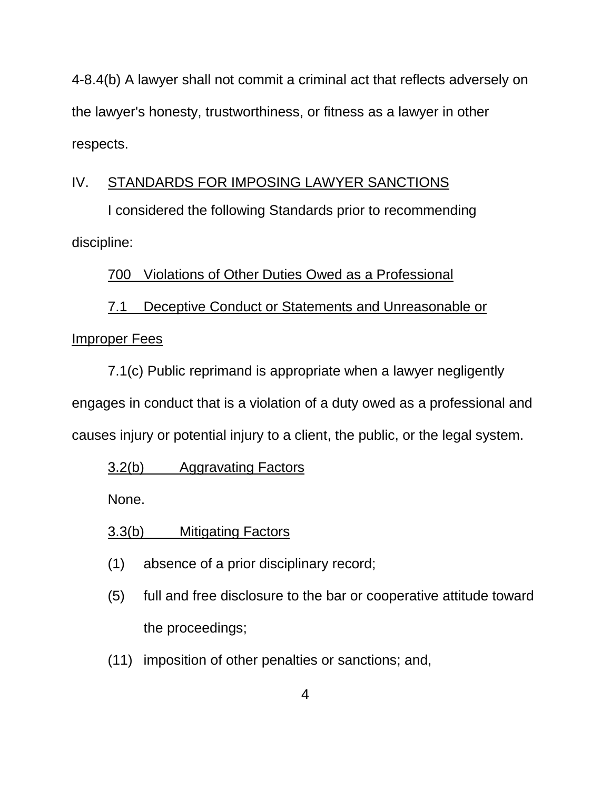4-8.4(b) A lawyer shall not commit a criminal act that reflects adversely on the lawyer's honesty, trustworthiness, or fitness as a lawyer in other respects.

## IV. STANDARDS FOR IMPOSING LAWYER SANCTIONS

I considered the following Standards prior to recommending discipline:

# 700 Violations of Other Duties Owed as a Professional

# 7.1 Deceptive Conduct or Statements and Unreasonable or Improper Fees

7.1(c) Public reprimand is appropriate when a lawyer negligently engages in conduct that is a violation of a duty owed as a professional and causes injury or potential injury to a client, the public, or the legal system.

# 3.2(b) Aggravating Factors

None.

# 3.3(b) Mitigating Factors

- (1) absence of a prior disciplinary record;
- (5) full and free disclosure to the bar or cooperative attitude toward the proceedings;
- (11) imposition of other penalties or sanctions; and,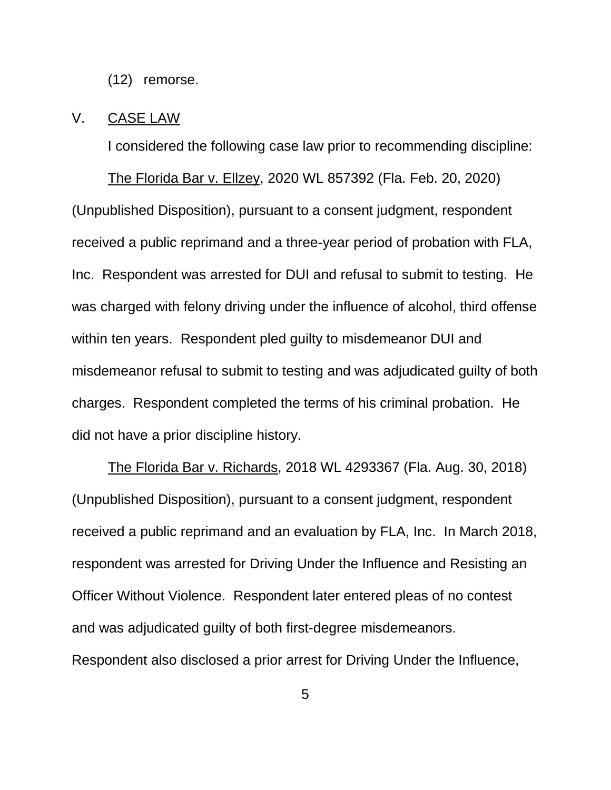(12) remorse.

### V. CASE LAW

I considered the following case law prior to recommending discipline:

The Florida Bar v. Ellzey, 2020 WL 857392 (Fla. Feb. 20, 2020) (Unpublished Disposition), pursuant to a consent judgment, respondent received a public reprimand and a three-year period of probation with FLA, Inc. Respondent was arrested for DUI and refusal to submit to testing. He was charged with felony driving under the influence of alcohol, third offense within ten years. Respondent pled guilty to misdemeanor DUI and misdemeanor refusal to submit to testing and was adjudicated guilty of both charges. Respondent completed the terms of his criminal probation. He did not have a prior discipline history.

The Florida Bar v. Richards, 2018 WL 4293367 (Fla. Aug. 30, 2018) (Unpublished Disposition), pursuant to a consent judgment, respondent received a public reprimand and an evaluation by FLA, Inc. In March 2018, respondent was arrested for Driving Under the Influence and Resisting an Officer Without Violence. Respondent later entered pleas of no contest and was adjudicated guilty of both first-degree misdemeanors. Respondent also disclosed a prior arrest for Driving Under the Influence,

5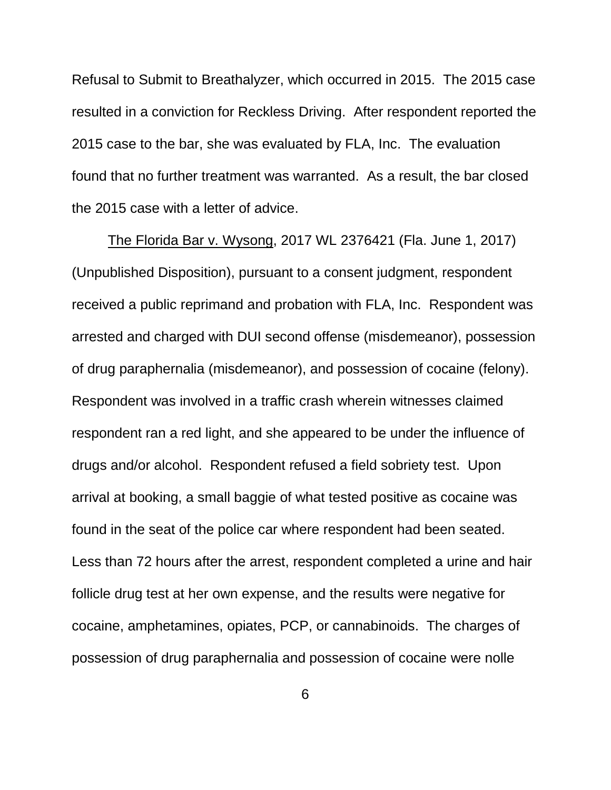Refusal to Submit to Breathalyzer, which occurred in 2015. The 2015 case resulted in a conviction for Reckless Driving. After respondent reported the 2015 case to the bar, she was evaluated by FLA, Inc. The evaluation found that no further treatment was warranted. As a result, the bar closed the 2015 case with a letter of advice.

The Florida Bar v. Wysong, 2017 WL 2376421 (Fla. June 1, 2017) (Unpublished Disposition), pursuant to a consent judgment, respondent received a public reprimand and probation with FLA, Inc. Respondent was arrested and charged with DUI second offense (misdemeanor), possession of drug paraphernalia (misdemeanor), and possession of cocaine (felony). Respondent was involved in a traffic crash wherein witnesses claimed respondent ran a red light, and she appeared to be under the influence of drugs and/or alcohol. Respondent refused a field sobriety test. Upon arrival at booking, a small baggie of what tested positive as cocaine was found in the seat of the police car where respondent had been seated. Less than 72 hours after the arrest, respondent completed a urine and hair follicle drug test at her own expense, and the results were negative for cocaine, amphetamines, opiates, PCP, or cannabinoids. The charges of possession of drug paraphernalia and possession of cocaine were nolle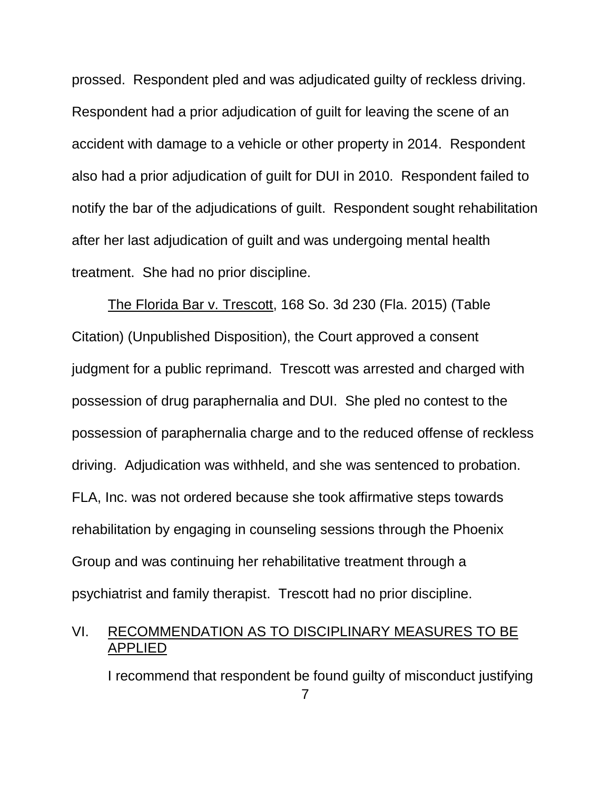prossed. Respondent pled and was adjudicated guilty of reckless driving. Respondent had a prior adjudication of guilt for leaving the scene of an accident with damage to a vehicle or other property in 2014. Respondent also had a prior adjudication of guilt for DUI in 2010. Respondent failed to notify the bar of the adjudications of guilt. Respondent sought rehabilitation after her last adjudication of guilt and was undergoing mental health treatment. She had no prior discipline.

The Florida Bar v. Trescott, 168 So. 3d 230 (Fla. 2015) (Table Citation) (Unpublished Disposition), the Court approved a consent judgment for a public reprimand. Trescott was arrested and charged with possession of drug paraphernalia and DUI. She pled no contest to the possession of paraphernalia charge and to the reduced offense of reckless driving. Adjudication was withheld, and she was sentenced to probation. FLA, Inc. was not ordered because she took affirmative steps towards rehabilitation by engaging in counseling sessions through the Phoenix Group and was continuing her rehabilitative treatment through a psychiatrist and family therapist. Trescott had no prior discipline.

### VI. RECOMMENDATION AS TO DISCIPLINARY MEASURES TO BE APPLIED

I recommend that respondent be found guilty of misconduct justifying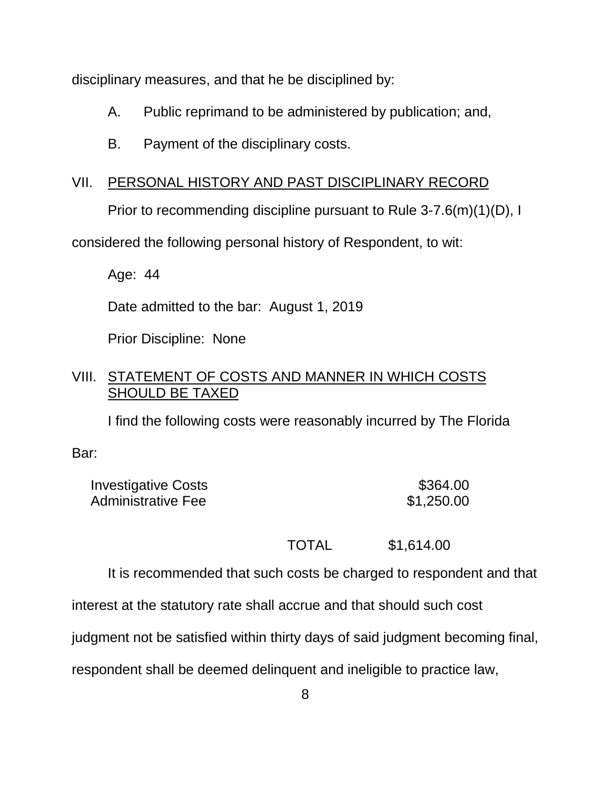disciplinary measures, and that he be disciplined by:

- A. Public reprimand to be administered by publication; and,
- B. Payment of the disciplinary costs.

## VII. PERSONAL HISTORY AND PAST DISCIPLINARY RECORD

Prior to recommending discipline pursuant to Rule 3-7.6(m)(1)(D), I

considered the following personal history of Respondent, to wit:

Age: 44

Date admitted to the bar: August 1, 2019

Prior Discipline: None

### VIII. STATEMENT OF COSTS AND MANNER IN WHICH COSTS SHOULD BE TAXED

I find the following costs were reasonably incurred by The Florida

Bar:

| <b>Investigative Costs</b> | \$364.00   |
|----------------------------|------------|
| Administrative Fee         | \$1,250.00 |

TOTAL \$1,614.00

It is recommended that such costs be charged to respondent and that

interest at the statutory rate shall accrue and that should such cost

judgment not be satisfied within thirty days of said judgment becoming final,

respondent shall be deemed delinquent and ineligible to practice law,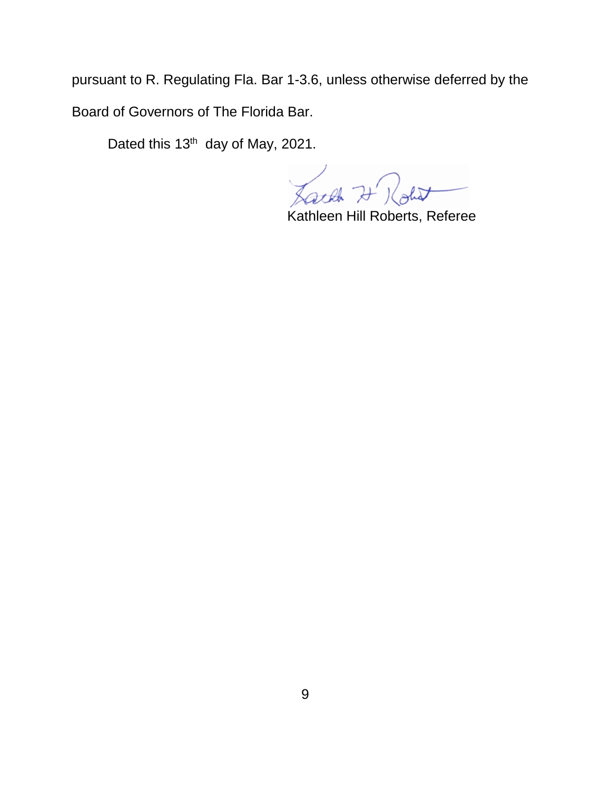pursuant to R. Regulating Fla. Bar 1-3.6, unless otherwise deferred by the Board of Governors of The Florida Bar.

Dated this 13<sup>th</sup> day of May, 2021.

Lack 7 Rolet

Kathleen Hill Roberts, Referee